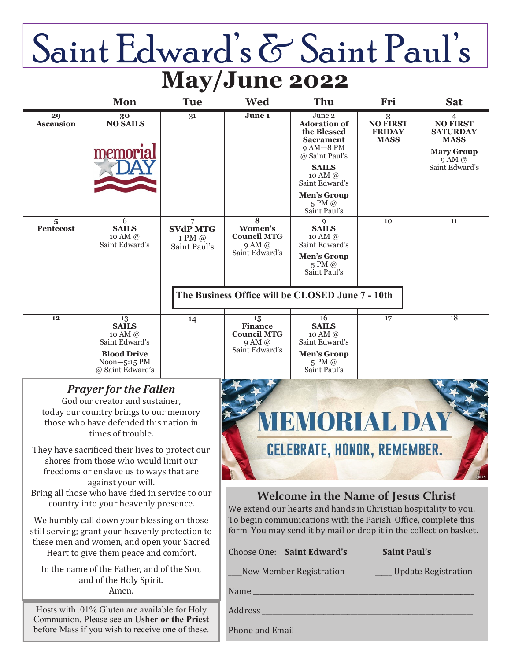# Saint Edward's & Saint Paul's **May/June 2022**

|                                                                                                                                                                                      | Mon                                                                                                   | <b>Tue</b>                 | Wed                                                                                                                                                                                     | Thu                                                                                                                                                                                                               | Fri                                                               | <b>Sat</b>                                                                                                    |
|--------------------------------------------------------------------------------------------------------------------------------------------------------------------------------------|-------------------------------------------------------------------------------------------------------|----------------------------|-----------------------------------------------------------------------------------------------------------------------------------------------------------------------------------------|-------------------------------------------------------------------------------------------------------------------------------------------------------------------------------------------------------------------|-------------------------------------------------------------------|---------------------------------------------------------------------------------------------------------------|
| 29<br><b>Ascension</b><br>$\overline{5}$<br>Pentecost                                                                                                                                | 30<br><b>NO SAILS</b><br>memoria<br>6<br><b>SAILS</b>                                                 | 31<br>7<br><b>SVdP MTG</b> | June 1<br>$\overline{8}$<br>Women's                                                                                                                                                     | June 2<br><b>Adoration of</b><br>the Blessed<br><b>Sacrament</b><br>$9AM-8PM$<br>@ Saint Paul's<br><b>SAILS</b><br>10 AM @<br>Saint Edward's<br><b>Men's Group</b><br>5 PM @<br>Saint Paul's<br>9<br><b>SAILS</b> | $\bf{3}$<br><b>NO FIRST</b><br><b>FRIDAY</b><br><b>MASS</b><br>10 | 4<br><b>NO FIRST</b><br><b>SATURDAY</b><br><b>MASS</b><br><b>Mary Group</b><br>9 AM @<br>Saint Edward's<br>11 |
|                                                                                                                                                                                      | 10 AM @<br>Saint Edward's                                                                             | 1 PM @<br>Saint Paul's     | <b>Council MTG</b><br>9 AM @<br>Saint Edward's                                                                                                                                          | 10 AM @<br>Saint Edward's<br><b>Men's Group</b><br>5 PM @<br>Saint Paul's<br>The Business Office will be CLOSED June 7 - 10th                                                                                     |                                                                   |                                                                                                               |
| 12                                                                                                                                                                                   | 13                                                                                                    | 14                         | 15                                                                                                                                                                                      | 16                                                                                                                                                                                                                | 17                                                                | 18                                                                                                            |
|                                                                                                                                                                                      | <b>SAILS</b><br>10 AM @<br>Saint Edward's<br><b>Blood Drive</b><br>$Noon-5:15$ PM<br>@ Saint Edward's |                            | <b>Finance</b><br><b>Council MTG</b><br>9AM@<br>Saint Edward's                                                                                                                          | <b>SAILS</b><br>10 AM @<br>Saint Edward's<br><b>Men's Group</b><br>5 PM @<br>Saint Paul's                                                                                                                         |                                                                   |                                                                                                               |
| <b>Prayer for the Fallen</b>                                                                                                                                                         |                                                                                                       |                            |                                                                                                                                                                                         |                                                                                                                                                                                                                   |                                                                   |                                                                                                               |
| God our creator and sustainer,<br>today our country brings to our memory                                                                                                             |                                                                                                       |                            |                                                                                                                                                                                         |                                                                                                                                                                                                                   |                                                                   |                                                                                                               |
| those who have defended this nation in<br>times of trouble.                                                                                                                          |                                                                                                       |                            |                                                                                                                                                                                         | BNORIALD                                                                                                                                                                                                          |                                                                   |                                                                                                               |
| They have sacrificed their lives to protect our<br>shores from those who would limit our<br>freedoms or enslave us to ways that are<br>against your will.                            |                                                                                                       |                            | <b>CELEBRATE, HONOR, REMEMBER.</b>                                                                                                                                                      |                                                                                                                                                                                                                   |                                                                   |                                                                                                               |
| Bring all those who have died in service to our<br>country into your heavenly presence.                                                                                              |                                                                                                       |                            | <b>Welcome in the Name of Jesus Christ</b><br>We extend our hearts and hands in Christian hospitality to you.                                                                           |                                                                                                                                                                                                                   |                                                                   |                                                                                                               |
| We humbly call down your blessing on those<br>still serving; grant your heavenly protection to<br>these men and women, and open your Sacred<br>Heart to give them peace and comfort. |                                                                                                       |                            | To begin communications with the Parish Office, complete this<br>form You may send it by mail or drop it in the collection basket.<br>Choose One: Saint Edward's<br><b>Saint Paul's</b> |                                                                                                                                                                                                                   |                                                                   |                                                                                                               |
| In the name of the Father, and of the Son,<br>and of the Holy Spirit.<br>Amen.                                                                                                       |                                                                                                       |                            | New Member Registration<br>____ Update Registration                                                                                                                                     |                                                                                                                                                                                                                   |                                                                   |                                                                                                               |
| Hosts with .01% Gluten are available for Holy<br>Communion. Please see an Usher or the Priest<br>before Mass if you wish to receive one of these.                                    |                                                                                                       |                            | Phone and Email                                                                                                                                                                         |                                                                                                                                                                                                                   |                                                                   |                                                                                                               |